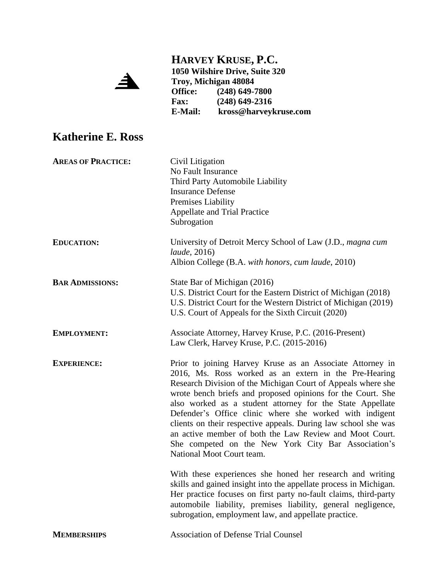

**HARVEY KRUSE, P.C. 1050 Wilshire Drive, Suite 320 Troy, Michigan 48084**

**Office: (248) 649-7800 Fax: (248) 649-2316 E-Mail: kross@harveykruse.com**

## **Katherine E. Ross**

| <b>AREAS OF PRACTICE:</b> | Civil Litigation<br>No Fault Insurance<br>Third Party Automobile Liability<br><b>Insurance Defense</b><br>Premises Liability<br><b>Appellate and Trial Practice</b><br>Subrogation                                                                                                                                                                                                                                                                                                                                                                                                         |
|---------------------------|--------------------------------------------------------------------------------------------------------------------------------------------------------------------------------------------------------------------------------------------------------------------------------------------------------------------------------------------------------------------------------------------------------------------------------------------------------------------------------------------------------------------------------------------------------------------------------------------|
| <b>EDUCATION:</b>         | University of Detroit Mercy School of Law (J.D., magna cum<br><i>laude</i> , 2016)<br>Albion College (B.A. with honors, cum laude, 2010)                                                                                                                                                                                                                                                                                                                                                                                                                                                   |
| <b>BAR ADMISSIONS:</b>    | State Bar of Michigan (2016)<br>U.S. District Court for the Eastern District of Michigan (2018)<br>U.S. District Court for the Western District of Michigan (2019)<br>U.S. Court of Appeals for the Sixth Circuit (2020)                                                                                                                                                                                                                                                                                                                                                                   |
| <b>EMPLOYMENT:</b>        | Associate Attorney, Harvey Kruse, P.C. (2016-Present)<br>Law Clerk, Harvey Kruse, P.C. (2015-2016)                                                                                                                                                                                                                                                                                                                                                                                                                                                                                         |
| <b>EXPERIENCE:</b>        | Prior to joining Harvey Kruse as an Associate Attorney in<br>2016, Ms. Ross worked as an extern in the Pre-Hearing<br>Research Division of the Michigan Court of Appeals where she<br>wrote bench briefs and proposed opinions for the Court. She<br>also worked as a student attorney for the State Appellate<br>Defender's Office clinic where she worked with indigent<br>clients on their respective appeals. During law school she was<br>an active member of both the Law Review and Moot Court.<br>She competed on the New York City Bar Association's<br>National Moot Court team. |
|                           | With these experiences she honed her research and writing<br>skills and gained insight into the appellate process in Michigan.<br>Her practice focuses on first party no-fault claims, third-party<br>automobile liability, premises liability, general negligence,<br>subrogation, employment law, and appellate practice.                                                                                                                                                                                                                                                                |
| <b>MEMBERSHIPS</b>        | <b>Association of Defense Trial Counsel</b>                                                                                                                                                                                                                                                                                                                                                                                                                                                                                                                                                |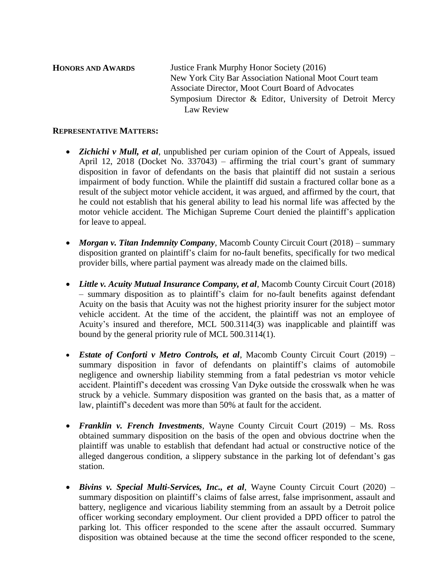**HONORS AND AWARDS** Justice Frank Murphy Honor Society (2016) New York City Bar Association National Moot Court team Associate Director, Moot Court Board of Advocates Symposium Director & Editor, University of Detroit Mercy Law Review

## **REPRESENTATIVE MATTERS:**

- *Zichichi v Mull, et al*, unpublished per curiam opinion of the Court of Appeals, issued April 12, 2018 (Docket No. 337043) – affirming the trial court's grant of summary disposition in favor of defendants on the basis that plaintiff did not sustain a serious impairment of body function. While the plaintiff did sustain a fractured collar bone as a result of the subject motor vehicle accident, it was argued, and affirmed by the court, that he could not establish that his general ability to lead his normal life was affected by the motor vehicle accident. The Michigan Supreme Court denied the plaintiff's application for leave to appeal.
- *Morgan v. Titan Indemnity Company*, Macomb County Circuit Court (2018) summary disposition granted on plaintiff's claim for no-fault benefits, specifically for two medical provider bills, where partial payment was already made on the claimed bills.
- *Little v. Acuity Mutual Insurance Company, et al*, Macomb County Circuit Court (2018) – summary disposition as to plaintiff's claim for no-fault benefits against defendant Acuity on the basis that Acuity was not the highest priority insurer for the subject motor vehicle accident. At the time of the accident, the plaintiff was not an employee of Acuity's insured and therefore, MCL 500.3114(3) was inapplicable and plaintiff was bound by the general priority rule of MCL 500.3114(1).
- *Estate of Conforti v Metro Controls, et al*, Macomb County Circuit Court (2019) summary disposition in favor of defendants on plaintiff's claims of automobile negligence and ownership liability stemming from a fatal pedestrian vs motor vehicle accident. Plaintiff's decedent was crossing Van Dyke outside the crosswalk when he was struck by a vehicle. Summary disposition was granted on the basis that, as a matter of law, plaintiff's decedent was more than 50% at fault for the accident.
- *Franklin v. French Investments*, Wayne County Circuit Court (2019) Ms. Ross obtained summary disposition on the basis of the open and obvious doctrine when the plaintiff was unable to establish that defendant had actual or constructive notice of the alleged dangerous condition, a slippery substance in the parking lot of defendant's gas station.
- *Bivins v. Special Multi-Services, Inc., et al*, Wayne County Circuit Court (2020) summary disposition on plaintiff's claims of false arrest, false imprisonment, assault and battery, negligence and vicarious liability stemming from an assault by a Detroit police officer working secondary employment. Our client provided a DPD officer to patrol the parking lot. This officer responded to the scene after the assault occurred. Summary disposition was obtained because at the time the second officer responded to the scene,